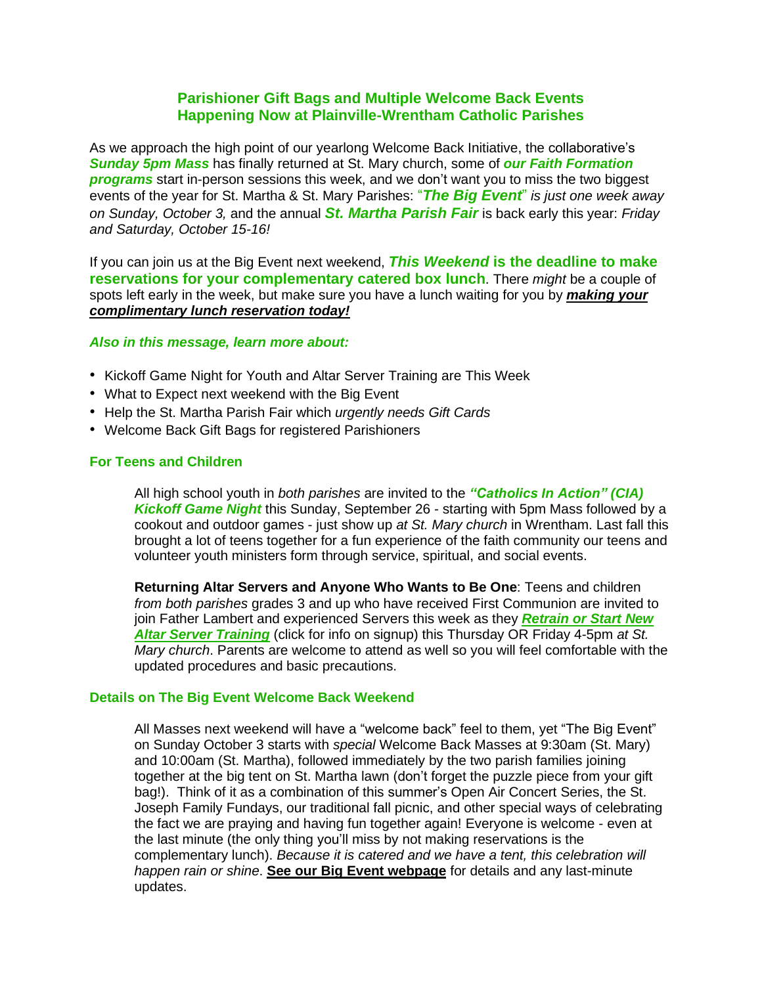# **Parishioner Gift Bags and Multiple Welcome Back Events Happening Now at Plainville-Wrentham Catholic Parishes**

As we approach the high point of our yearlong Welcome Back Initiative, the collaborative's *Sunday 5pm Mass* has finally returned at St. Mary church, some of *our Faith Formation programs* start in-person sessions this week, and we don't want you to miss the two biggest events of the year for St. Martha & St. Mary Parishes: "*The Big Event*" *is just one week away on Sunday, October 3,* and the annual *St. Martha Parish Fair* is back early this year: *Friday and Saturday, October 15-16!*

If you can join us at the Big Event next weekend, *This Weekend* **is the deadline to make reservations for your complementary catered box lunch**. There *might* be a couple of spots left early in the week, but make sure you have a lunch waiting for you by *[making](https://www.signupgenius.com/go/9040f4cadab2ea3fa7-pwcwelcome) your [complimentary](https://www.signupgenius.com/go/9040f4cadab2ea3fa7-pwcwelcome) lunch reservation today!*

# *Also in this message, learn more about:*

- Kickoff Game Night for Youth and Altar Server Training are This Week
- What to Expect next weekend with the Big Event
- Help the St. Martha Parish Fair which *urgently needs Gift Cards*
- Welcome Back Gift Bags for registered Parishioners

# **For Teens and Children**

All high school youth in *both parishes* are invited to the *"Catholics In Action" (CIA) Kickoff Game Night* this Sunday, September 26 - starting with 5pm Mass followed by a cookout and outdoor games - just show up *at St. Mary church* in Wrentham. Last fall this brought a lot of teens together for a fun experience of the faith community our teens and volunteer youth ministers form through service, spiritual, and social events.

**Returning Altar Servers and Anyone Who Wants to Be One**: Teens and children *from both parishes* grades 3 and up who have received First Communion are invited to join Father Lambert and experienced Servers this week as they *[Retrain](https://pwc.church/news/training-for-new-returning-altar-servers) or Start New Altar Server [Training](https://pwc.church/news/training-for-new-returning-altar-servers)* (click for info on signup) this Thursday OR Friday 4-5pm *at St. Mary church*. Parents are welcome to attend as well so you will feel comfortable with the updated procedures and basic precautions.

# **Details on The Big Event Welcome Back Weekend**

All Masses next weekend will have a "welcome back" feel to them, yet "The Big Event" on Sunday October 3 starts with *special* Welcome Back Masses at 9:30am (St. Mary) and 10:00am (St. Martha), followed immediately by the two parish families joining together at the big tent on St. Martha lawn (don't forget the puzzle piece from your gift bag!). Think of it as a combination of this summer's Open Air Concert Series, the St. Joseph Family Fundays, our traditional fall picnic, and other special ways of celebrating the fact we are praying and having fun together again! Everyone is welcome - even at the last minute (the only thing you'll miss by not making reservations is the complementary lunch). *Because it is catered and we have a tent, this celebration will happen rain or shine*. **See our Big Event [webpage](https://pwc.church/introducing-the-big-event)** for details and any last-minute updates.